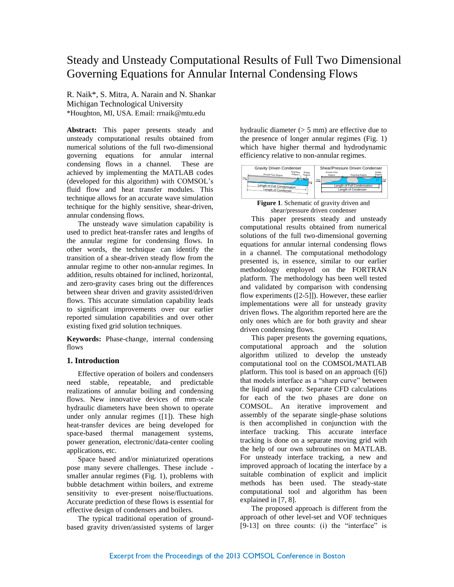# Steady and Unsteady Computational Results of Full Two Dimensional Governing Equations for Annular Internal Condensing Flows

R. Naik\*, S. Mitra, A. Narain and N. Shankar Michigan Technological University \*Houghton, MI, USA. Email: rrnaik@mtu.edu

**Abstract:** This paper presents steady and unsteady computational results obtained from numerical solutions of the full two-dimensional governing equations for annular internal condensing flows in a channel. These are achieved by implementing the MATLAB codes (developed for this algorithm) with COMSOL's fluid flow and heat transfer modules. This technique allows for an accurate wave simulation technique for the highly sensitive, shear-driven, annular condensing flows.

The unsteady wave simulation capability is used to predict heat-transfer rates and lengths of the annular regime for condensing flows. In other words, the technique can identify the transition of a shear-driven steady flow from the annular regime to other non-annular regimes. In addition, results obtained for inclined, horizontal, and zero-gravity cases bring out the differences between shear driven and gravity assisted/driven flows. This accurate simulation capability leads to significant improvements over our earlier reported simulation capabilities and over other existing fixed grid solution techniques.

**Keywords:** Phase-change, internal condensing flows

# **1. Introduction**

Effective operation of boilers and condensers need stable, repeatable, and predictable realizations of annular boiling and condensing flows. New innovative devices of mm-scale hydraulic diameters have been shown to operate under only annular regimes ([\[1\]](#page-6-0)). These high heat-transfer devices are being developed for space-based thermal management systems, power generation, electronic/data-center cooling applications, etc.

Space based and/or miniaturized operations pose many severe challenges. These include smaller annular regimes (Fig. 1), problems with bubble detachment within boilers, and extreme sensitivity to ever-present noise/fluctuations. Accurate prediction of these flows is essential for effective design of condensers and boilers.

The typical traditional operation of groundbased gravity driven/assisted systems of larger hydraulic diameter (> 5 mm) are effective due to the presence of longer annular regimes (Fig. 1) which have higher thermal and hydrodynamic efficiency relative to non-annular regimes.



**Figure 1**. Schematic of gravity driven and shear/pressure driven condenser

This paper presents steady and unsteady computational results obtained from numerical solutions of the full two-dimensional governing equations for annular internal condensing flows in a channel. The computational methodology presented is, in essence, similar to our earlier methodology employed on the FORTRAN platform. The methodology has been well tested and validated by comparison with condensing flow experiments ([\[2-5\]](#page-6-1)]). However, these earlier implementations were all for unsteady gravity driven flows. The algorithm reported here are the only ones which are for both gravity and shear driven condensing flows.

This paper presents the governing equations, computational approach and the solution algorithm utilized to develop the unsteady computational tool on the COMSOL/MATLAB platform. This tool is based on an approach ([\[6\]](#page-6-2)) that models interface as a "sharp curve" between the liquid and vapor. Separate CFD calculations for each of the two phases are done on COMSOL. An iterative improvement and assembly of the separate single-phase solutions is then accomplished in conjunction with the interface tracking. This accurate interface tracking is done on a separate moving grid with the help of our own subroutines on MATLAB. For unsteady interface tracking, a new and improved approach of locating the interface by a suitable combination of explicit and implicit methods has been used. The steady-state computational tool and algorithm has been explained in [\[7,](#page-6-3) [8\]](#page-6-4).

The proposed approach is different from the approach of other level-set and VOF techniques [\[9-13\]](#page-6-5) on three counts: (i) the "interface" is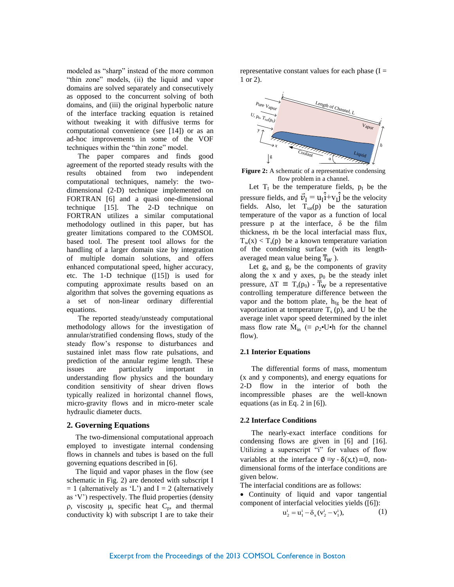modeled as "sharp" instead of the more common "thin zone" models, (ii) the liquid and vapor domains are solved separately and consecutively as opposed to the concurrent solving of both domains, and (iii) the original hyperbolic nature of the interface tracking equation is retained without tweaking it with diffusive terms for computational convenience (see [\[14\]](#page-6-6)) or as an ad-hoc improvements in some of the VOF techniques within the "thin zone" model.

The paper compares and finds good agreement of the reported steady results with the results obtained from two independent computational techniques, namely: the twodimensional (2-D) technique implemented on FORTRAN [\[6\]](#page-6-2) and a quasi one-dimensional technique [\[15\]](#page-6-7). The 2-D technique on FORTRAN utilizes a similar computational methodology outlined in this paper, but has greater limitations compared to the COMSOL based tool. The present tool allows for the handling of a larger domain size by integration of multiple domain solutions, and offers enhanced computational speed, higher accuracy, etc. The 1-D technique ([\[15\]](#page-6-7)) is used for computing approximate results based on an algorithm that solves the governing equations as a set of non-linear ordinary differential equations.

The reported steady/unsteady computational methodology allows for the investigation of annular/stratified condensing flows, study of the steady flow's response to disturbances and sustained inlet mass flow rate pulsations, and prediction of the annular regime length. These issues are particularly important in understanding flow physics and the boundary condition sensitivity of shear driven flows typically realized in horizontal channel flows, micro-gravity flows and in micro-meter scale hydraulic diameter ducts.

## **2. Governing Equations**

The two-dimensional computational approach employed to investigate internal condensing flows in channels and tubes is based on the full governing equations described in [\[6\]](#page-6-2).

The liquid and vapor phases in the flow (see schematic in Fig. 2) are denoted with subscript I  $= 1$  (alternatively as 'L') and I = 2 (alternatively as 'V') respectively. The fluid properties (density  $\rho$ , viscosity  $\mu$ , specific heat  $C_p$ , and thermal conductivity k) with subscript I are to take their representative constant values for each phase  $(I =$ 1 or 2).



**Figure 2:** A schematic of a representative condensing flow problem in a channel.

Let  $T_I$  be the temperature fields,  $p_I$  be the pressure fields, and  $\vec{v}_I = u_I \hat{i} + v_I \hat{j}$  be the velocity fields. Also, let  $T_{sat}(p)$  be the saturation temperature of the vapor as a function of local pressure p at the interface,  $\delta$  be the film thickness, ṁ be the local interfacial mass flux,  $T_w(x) < T_s(p)$  be a known temperature variation of the condensing surface (with its lengthaveraged mean value being  $\overline{T}_W$ ).

Let  $g_x$  and  $g_y$  be the components of gravity along the x and y axes,  $p_0$  be the steady inlet pressure,  $\Delta T = T_s(p_0) - \overline{T}_W$  be a representative controlling temperature difference between the vapor and the bottom plate,  $h_{fg}$  be the heat of vaporization at temperature  $T_s(p)$ , and U be the average inlet vapor speed determined by the inlet mass flow rate  $\dot{M}_{in}$  ( $\equiv \rho_2 \cdot U \cdot h$  for the channel flow).

### **2.1 Interior Equations**

The differential forms of mass, momentum (x and y components), and energy equations for 2-D flow in the interior of both the incompressible phases are the well-known equations (as in Eq. 2 in [\[6\]](#page-6-2)).

## **2.2 Interface Conditions**

The nearly-exact interface conditions for condensing flows are given in [\[6\]](#page-6-2) and [\[16\]](#page-6-8). Utilizing a superscript "i" for values of flow variables at the interface  $\emptyset \equiv v - \delta(x,t) = 0$ , nondimensional forms of the interface conditions are given below.

The interfacial conditions are as follows:

 Continuity of liquid and vapor tangential component of interfacial velocities yields ([\[6\]](#page-6-2)):

$$
u_2^i = u_1^i - \delta_x (v_2^i - v_1^i),
$$
 (1)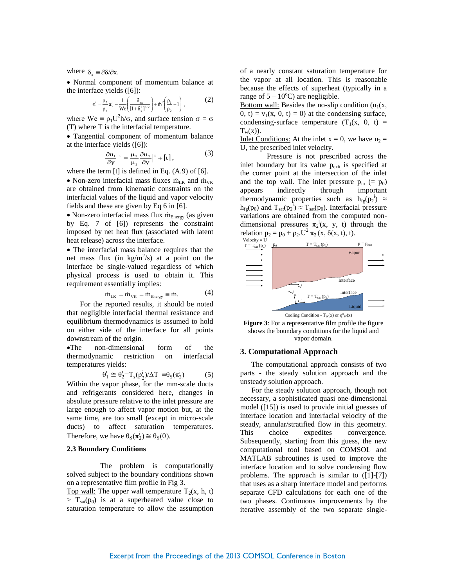where  $\delta_x = \partial \delta / \partial x$ .

 Normal component of momentum balance at the interface yields ([\[6\]](#page-6-2)):

$$
\pi_1^i = \frac{\rho_2}{\rho_1} \pi_2^i - \frac{1}{We} \left( \frac{\delta_{xx}}{[1 + \delta_x^2]^{3/2}} \right) + \dot{m}^2 \left( \frac{\rho_1}{\rho_2} - 1 \right) ,
$$
 (2)

where  $\text{We} \equiv \rho_1 U^2 \text{h/s}$ , and surface tension  $\sigma = \sigma$ (T) where T is the interfacial temperature.

 Tangential component of momentum balance at the interface yields ([\[6\]](#page-6-2)):

$$
\frac{\partial \mathbf{u}_1}{\partial \mathbf{y}}\Big|_{\mathbf{i}} = \frac{\mu_2}{\mu_1} \frac{\partial \mathbf{u}_2}{\partial \mathbf{y}}\Big|_{\mathbf{i}} + [\mathbf{t}], \tag{3}
$$

where the term [t] is defined in Eq. (A.9) of [\[6\]](#page-6-2).

• Non-zero interfacial mass fluxes  $\dot{m}_{LK}$  and  $\dot{m}_{VK}$ are obtained from kinematic constraints on the interfacial values of the liquid and vapor velocity fields and these are given by Eq 6 in [\[6\]](#page-6-2).

 $\bullet$  Non-zero interfacial mass flux  $\dot{m}_{\text{Energy}}$  (as given by Eq. 7 of [\[6\]](#page-6-2)) represents the constraint imposed by net heat flux (associated with latent heat release) across the interface.

 The interfacial mass balance requires that the net mass flux (in  $\text{kg/m}^2/\text{s}$ ) at a point on the interface be single-valued regardless of which physical process is used to obtain it. This requirement essentially implies:

$$
\dot{m}_{LK} = \dot{m}_{VK} = \dot{m}_{Energy} \equiv \dot{m}.
$$
 (4)

For the reported results, it should be noted that negligible interfacial thermal resistance and equilibrium thermodynamics is assumed to hold on either side of the interface for all points downstream of the origin.

The non-dimensional form of the thermodynamic restriction on interfacial temperatures yields:

$$
\theta_1^i \cong \theta_2^i = T_s(p_2^i) / \Delta T \equiv \theta_S(\pi_2^i)
$$
 (5)

Within the vapor phase, for the mm-scale ducts and refrigerants considered here, changes in absolute pressure relative to the inlet pressure are large enough to affect vapor motion but, at the same time, are too small (except in micro-scale ducts) to affect saturation temperatures. Therefore, we have  $\theta_{\rm S}(\pi_2^{\rm i}) \cong \theta_{\rm S}(0)$ .

## **2.3 Boundary Conditions**

The problem is computationally solved subject to the boundary conditions shown on a representative film profile in Fig 3.

Top wall: The upper wall temperature  $T_2(x, h, t)$  $>$  T<sub>sat</sub>(p<sub>0</sub>) is at a superheated value close to saturation temperature to allow the assumption of a nearly constant saturation temperature for the vapor at all location. This is reasonable because the effects of superheat (typically in a range of  $5 - 10^{\circ}$ C) are negligible.

Bottom wall: Besides the no-slip condition  $(u_1(x),$  $0, t$  = v<sub>1</sub>(x, 0, t) = 0) at the condensing surface, condensing-surface temperature  $(T_1(x, 0, t) =$  $T_w(x)$ ).

Inlet Conditions: At the inlet  $x = 0$ , we have  $u_2 =$ U, the prescribed inlet velocity.

Pressure is not prescribed across the inlet boundary but its value p<sub>exit</sub> is specified at the corner point at the intersection of the inlet and the top wall. The inlet pressure  $p_{in}$  (=  $p_0$ ) appears indirectly through important thermodynamic properties such as  $h_{fg}(p_2^i) \approx$  $h_{fg}(p_0)$  and  $T_{sat}(p_2^{\hat{i}}) \approx T_{sat}(p_0)$ . Interfacial pressure variations are obtained from the computed nondimensional pressures  $\pi_2$ <sup>i</sup>(x, y, t) through the relation  $p_2 = p_0 + \rho_2$ .  $U^2 \pi_2(x, \delta(x, t), t)$ .





## **3. Computational Approach**

The computational approach consists of two parts - the steady solution approach and the unsteady solution approach.

For the steady solution approach, though not necessary, a sophisticated quasi one-dimensional model ([\[15\]](#page-6-7)) is used to provide initial guesses of interface location and interfacial velocity of the steady, annular/stratified flow in this geometry. This choice expedites convergence. Subsequently, starting from this guess, the new computational tool based on COMSOL and MATLAB subroutines is used to improve the interface location and to solve condensing flow problems. The approach is similar to ([1]-[7]) that uses as a sharp interface model and performs separate CFD calculations for each one of the two phases. Continuous improvements by the iterative assembly of the two separate single-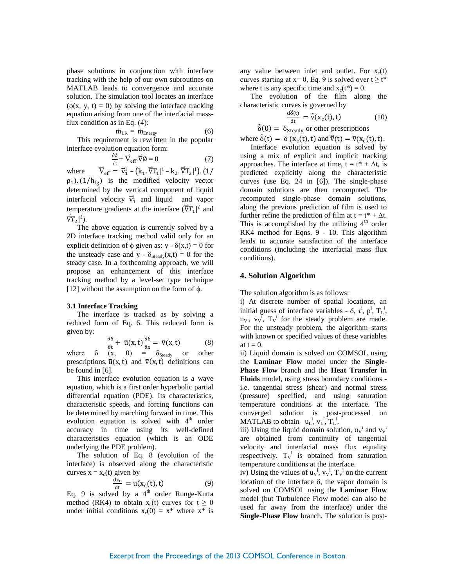phase solutions in conjunction with interface tracking with the help of our own subroutines on MATLAB leads to convergence and accurate solution. The simulation tool locates an interface  $(\phi(x, y, t) = 0)$  by solving the interface tracking equation arising from one of the interfacial massflux condition as in Eq. (4):

$$
\dot{m}_{LK} = \dot{m}_{Energy} \tag{6}
$$

This requirement is rewritten in the popular interface evolution equation form:

$$
\frac{\partial \phi}{\partial t} + \overrightarrow{V}_{eff} \cdot \overrightarrow{\nabla} \phi = 0 \tag{7}
$$

where  $_{\text{eff}} = \vec{v}_1^{\text{i}} - (k_1 \cdot \vec{\nabla} T_1 |^{\text{i}} - k_2 \cdot \vec{\nabla} T_2 |^{\text{i}})$  $\rho_1$ ). (1/h<sub>fg</sub>) is the modified velocity vector determined by the vertical component of liquid interfacial velocity  $\vec{v}_1^i$  and liquid and vapor temperature gradients at the interface  $(\vec{\nabla}T_1)^i$  and  $\overline{\nabla}T_2|^i$ ).

The above equation is currently solved by a 2D interface tracking method valid only for an explicit definition of  $\phi$  given as: y -  $\delta(x,t) = 0$  for the unsteady case and y -  $\delta_{\text{Steady}}(x,t) = 0$  for the steady case. In a forthcoming approach, we will propose an enhancement of this interface tracking method by a level-set type technique [\[12\]](#page-6-9) without the assumption on the form of  $\phi$ .

### **3.1 Interface Tracking**

The interface is tracked as by solving a reduced form of Eq. 6. This reduced form is given by:

$$
\frac{\partial \delta}{\partial t} + \bar{u}(x, t) \frac{\partial \delta}{\partial x} = \bar{v}(x, t) \tag{8}
$$

where  $\delta$  (x, 0) =  $\delta_{\text{Steady}}$  or other prescriptions,  $\bar{u}(x, t)$  and  $\bar{v}(x, t)$  definitions can be found in [\[6\]](#page-6-2).

This interface evolution equation is a wave equation, which is a first order hyperbolic partial differential equation (PDE). Its characteristics, characteristic speeds, and forcing functions can be determined by marching forward in time. This evolution equation is solved with  $4<sup>th</sup>$  order accuracy in time using its well-defined characteristics equation (which is an ODE underlying the PDE problem).

The solution of Eq. 8 (evolution of the interface) is observed along the characteristic curves  $x = x_c(t)$  given by

$$
\frac{dx_c}{dt} = \bar{u}(x_c(t), t) \tag{9}
$$

Eq. 9 is solved by a 4<sup>th</sup> order Runge-Kutta method (RK4) to obtain  $x_c(t)$  curves for  $t \ge 0$ under initial conditions  $x_c(0) = x^*$  where  $x^*$  is

any value between inlet and outlet. For  $x_c(t)$ curves starting at  $x = 0$ , Eq. 9 is solved over  $t \ge t^*$ where t is any specific time and  $x_c(t^*) = 0$ .

The evolution of the film along the characteristic curves is governed by

$$
\frac{\mathrm{d}\hat{\delta}(t)}{\mathrm{d}t} = \hat{\nabla}(x_c(t), t) \tag{10}
$$

 $\hat{\delta}(0) = \delta_{\text{Steady}}$  or other prescriptions

where  $\hat{\delta}(t) = \delta(x_c(t), t)$  and  $\hat{\bar{v}}(t) = \bar{v}(x_c(t), t)$ . Interface evolution equation is solved by

using a mix of explicit and implicit tracking approaches. The interface at time,  $t = t^* + \Delta t$ , is predicted explicitly along the characteristic curves (use Eq. 24 in [\[6\]](#page-6-2)). The single-phase domain solutions are then recomputed. The recomputed single-phase domain solutions, along the previous prediction of film is used to further refine the prediction of film at  $t = t^* + \Delta t$ . This is accomplished by the utilizing  $4<sup>th</sup>$  order RK4 method for Eqns. 9 - 10. This algorithm leads to accurate satisfaction of the interface conditions (including the interfacial mass flux conditions).

## **4. Solution Algorithm**

The solution algorithm is as follows:

i) At discrete number of spatial locations, an initial guess of interface variables -  $\delta$ ,  $\tau^i$ ,  $p^i$ ,  $T_L^i$ ,  $u_v^i$ ,  $v_v^i$ ,  $T_v^i$  for the steady problem are made. For the unsteady problem, the algorithm starts with known or specified values of these variables at  $t = 0$ .

ii) Liquid domain is solved on COMSOL using the **Laminar Flow** model under the **Single-Phase Flow** branch and the **Heat Transfer in Fluids** model, using stress boundary conditions i.e. tangential stress (shear) and normal stress (pressure) specified, and using saturation temperature conditions at the interface. The converged solution is post-processed on MATLAB to obtain  $u_L^i$ ,  $v_L^i$ ,  $T_L^i$ .

iii) Using the liquid domain solution,  $u_v^i$  and  $v_v^i$ are obtained from continuity of tangential velocity and interfacial mass flux equality respectively.  $T_v^i$  is obtained from saturation temperature conditions at the interface.

iv) Using the values of  $u_v^i$ ,  $v_v^i$ ,  $T_v^i$  on the current location of the interface  $\delta$ , the vapor domain is solved on COMSOL using the **Laminar Flow** model (but Turbulence Flow model can also be used far away from the interface) under the **Single-Phase Flow** branch. The solution is post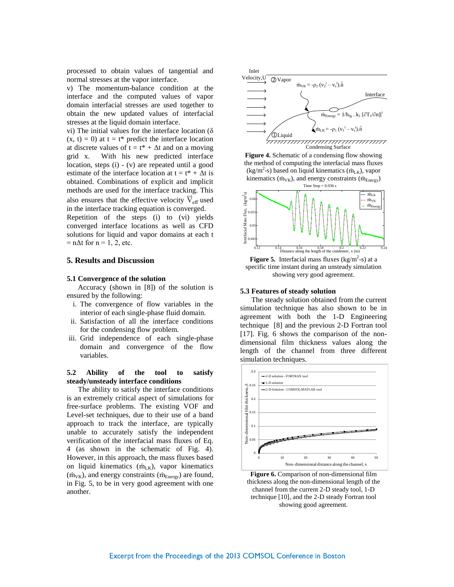processed to obtain values of tangential and normal stresses at the vapor interface.

v) The momentum-balance condition at the interface and the computed values of vapor domain interfacial stresses are used together to obtain the new updated values of interfacial stresses at the liquid domain interface.

vi) The initial values for the interface location ( $\delta$ )  $(x, t) = 0$  at  $t = t^*$  predict the interface location at discrete values of  $t = t^* + \Delta t$  and on a moving grid x. With his new predicted interface location, steps (i) - (v) are repeated until a good estimate of the interface location at  $t = t^* + \Delta t$  is obtained. Combinations of explicit and implicit methods are used for the interface tracking. This also ensures that the effective velocity  $\vec{V}_{eff}$  used in the interface tracking equation is converged.

Repetition of the steps (i) to (vi) yields converged interface locations as well as CFD solutions for liquid and vapor domains at each t  $= n\Delta t$  for  $n = 1, 2$ , etc.

# **5. Results and Discussion**

#### **5.1 Convergence of the solution**

Accuracy (shown in [\[8\]](#page-6-4)) of the solution is ensured by the following:

- i. The convergence of flow variables in the interior of each single-phase fluid domain.
- ii. Satisfaction of all the interface conditions for the condensing flow problem.
- iii. Grid independence of each single-phase domain and convergence of the flow variables.

# **5.2 Ability of the tool to satisfy steady/unsteady interface conditions**

The ability to satisfy the interface conditions is an extremely critical aspect of simulations for free-surface problems. The existing VOF and Level-set techniques, due to their use of a band approach to track the interface, are typically unable to accurately satisfy the independent verification of the interfacial mass fluxes of Eq. 4 (as shown in the schematic of Fig. 4). However, in this approach, the mass fluxes based on liquid kinematics  $(m_{LK})$ , vapor kinematics  $(\dot{m}_{VK})$ , and energy constraints  $(\dot{m}_{Energy})$  are found, in Fig. 5, to be in very good agreement with one another.



**Figure 4.** Schematic of a condensing flow showing the method of computing the interfacial mass fluxes  $(kg/m<sup>2</sup>-s)$  based on liquid kinematics  $(m_{LK})$ , vapor kinematics ( $\dot{m}_{VK}$ ), and energy constraints ( $\dot{m}_{Energy}$ ) Time Step  $= 0.036$  s



**Figure 5.** Interfacial mass fluxes  $(kg/m^2-s)$  at a specific time instant during an unsteady simulation showing very good agreement.

## **5.3 Features of steady solution**

The steady solution obtained from the current simulation technique has also shown to be in agreement with both the 1-D Engineering technique [\[8\]](#page-6-4) and the previous 2-D Fortran tool [\[17\]](#page-6-10). Fig. 6 shows the comparison of the nondimensional film thickness values along the length of the channel from three different simulation techniques.



**Figure 6.** Comparison of non-dimensional film thickness along the non-dimensional length of the channel from the current 2-D steady tool, 1-D technique [10], and the 2-D steady Fortran tool showing good agreement.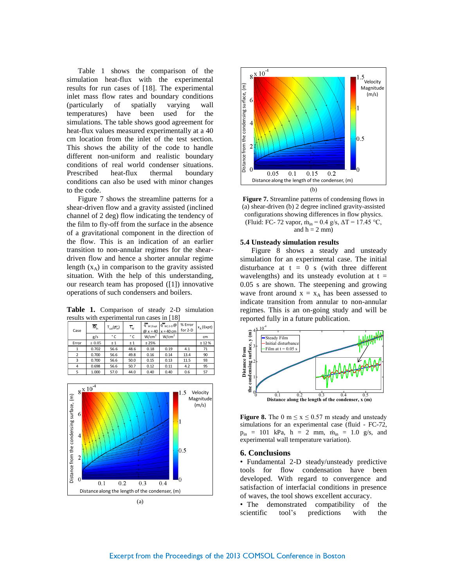Table 1 shows the comparison of the simulation heat-flux with the experimental results for run cases of [\[18\]](#page-6-11). The experimental inlet mass flow rates and boundary conditions (particularly of spatially varying wall temperatures) have been used for the simulations. The table shows good agreement for heat-flux values measured experimentally at a 40 cm location from the inlet of the test section. This shows the ability of the code to handle different non-uniform and realistic boundary conditions of real world condenser situations. Prescribed heat-flux thermal boundary conditions can also be used with minor changes to the code.

Figure 7 shows the streamline patterns for a shear-driven flow and a gravity assisted (inclined channel of 2 deg) flow indicating the tendency of the film to fly-off from the surface in the absence of a gravitational component in the direction of the flow. This is an indication of an earlier transition to non-annular regimes for the sheardriven flow and hence a shorter annular regime length  $(x_A)$  in comparison to the gravity assisted situation. With the help of this understanding, our research team has proposed ([\[1\]](#page-6-0)) innovative operations of such condensers and boilers.

**Table 1.** Comparison of steady 2-D simulation results with experimental run cases in [\[18\]](#page-6-11)

| Case                          | $\overline{\overline{M}}_{in}$ | $T_{sat}(\overline{p_{in}})$ | $\overline{T}_W$ | $\overline{\mathsf{q}}^{\mathsf{n}}$ <sub>W Expt</sub> | $\mathfrak{q}^{\overline{\mathfrak{m}}}_{w 2\cdot 0}$ @<br>$\omega x = 40$ $x = 40$ cm | % Error<br>for 2-D | $x_A$ (Expt) |       |
|-------------------------------|--------------------------------|------------------------------|------------------|--------------------------------------------------------|----------------------------------------------------------------------------------------|--------------------|--------------|-------|
|                               | g/s                            | ۰c                           | ۰c               | W/cm <sup>2</sup>                                      | W/cm <sup>2</sup>                                                                      |                    | cm           |       |
| Error                         | ± 0.05                         | ±1                           | ±1               | ± 25%                                                  |                                                                                        |                    | ± 12%        |       |
| 1                             | 0.702                          | 56.6                         | 48.6             | 0.18                                                   | 0.19                                                                                   | 4.1                | 71           | ε     |
| $\overline{2}$                | 0.700                          | 56.6                         | 49.8             | 0.16                                                   | 0.14                                                                                   | 13.4               | 90           | ć.    |
| 3                             | 0.700                          | 56.6                         | 50.0             | 0.15                                                   | 0.13                                                                                   | 11.5               | 93           | Š     |
| 4                             | 0.698                          | 56.6                         | 50.7             | 0.12                                                   | 0.11                                                                                   | 4.2                | 95           |       |
| 5                             | 1.000                          | 57.0                         | 44.0             | 0.40                                                   | 0.40                                                                                   | 0.6                | 57           | Dista |
| $8\frac{\text{x }10^{-4}}{2}$ |                                |                              |                  |                                                        |                                                                                        |                    | Velocity     |       |





**Figure 7.** Streamline patterns of condensing flows in (a) shear-driven (b) 2 degree inclined gravity-assisted configurations showing differences in flow physics. (Fluid: FC- 72 vapor,  $\dot{m}_{in} = 0.4$  g/s,  $\Delta T = 17.45$  °C, and  $h = 2$  mm)

### **5.4 Unsteady simulation results**

Figure 8 shows a steady and unsteady simulation for an experimental case. The initial disturbance at  $t = 0$  s (with three different wavelengths) and its unsteady evolution at  $t =$ 0.05 s are shown. The steepening and growing wave front around  $x = x_A$  has been assessed to indicate transition from annular to non-annular regimes. This is an on-going study and will be reported fully in a future publication.



**Figure 8.** The 0 m  $\le x \le 0.57$  m steady and unsteady simulations for an experimental case (fluid - FC-72,  $p_{in}$  = 101 kPa, h = 2 mm,  $\dot{m}_{in}$  = 1.0 g/s, and experimental wall temperature variation).

## **6. Conclusions**

• Fundamental 2-D steady/unsteady predictive tools for flow condensation have been developed. With regard to convergence and satisfaction of interfacial conditions in presence of waves, the tool shows excellent accuracy.

• The demonstrated compatibility of the scientific tool's predictions with the